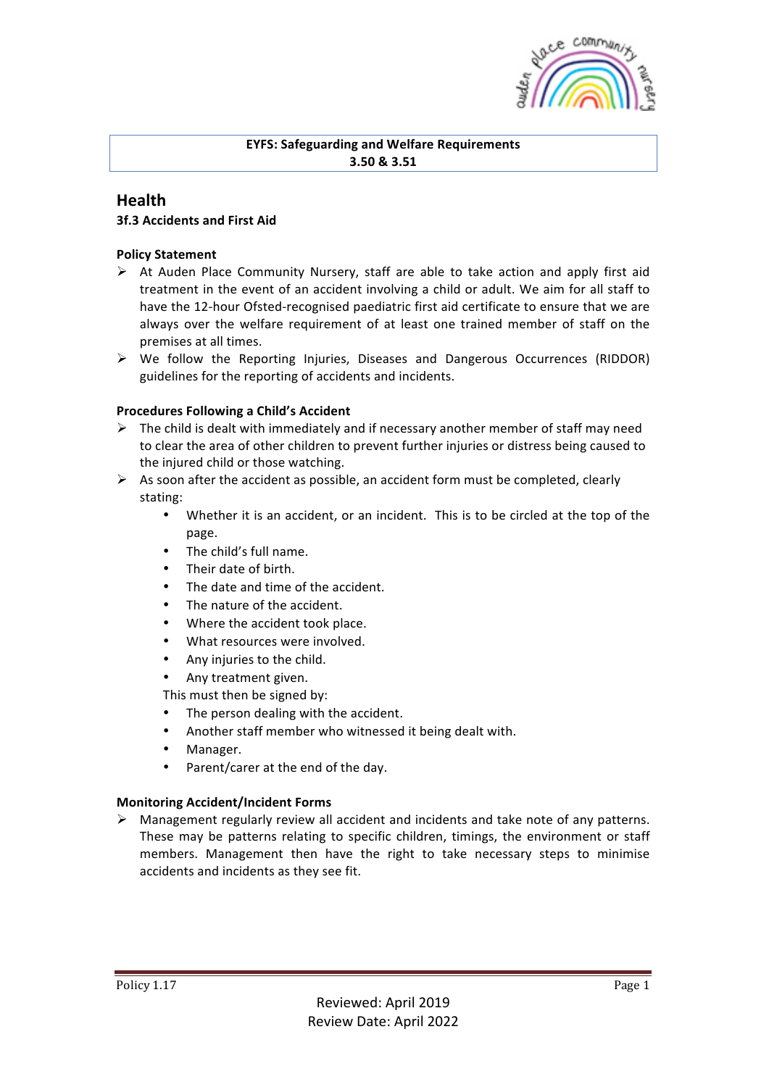

### **EYFS: Safeguarding and Welfare Requirements 3.50 & 3.51**

# **Health**

## **3f.3 Accidents and First Aid**

#### **Policy Statement**

- $\triangleright$  At Auden Place Community Nursery, staff are able to take action and apply first aid treatment in the event of an accident involving a child or adult. We aim for all staff to have the 12-hour Ofsted-recognised paediatric first aid certificate to ensure that we are always over the welfare requirement of at least one trained member of staff on the premises at all times.
- $\triangleright$  We follow the Reporting Injuries, Diseases and Dangerous Occurrences (RIDDOR) guidelines for the reporting of accidents and incidents.

#### **Procedures Following a Child's Accident**

- $\triangleright$  The child is dealt with immediately and if necessary another member of staff may need to clear the area of other children to prevent further injuries or distress being caused to the injured child or those watching.
- $\triangleright$  As soon after the accident as possible, an accident form must be completed, clearly stating:
	- Whether it is an accident, or an incident. This is to be circled at the top of the page.
	- The child's full name.
	- Their date of birth.
	- The date and time of the accident.
	- The nature of the accident.
	- Where the accident took place.
	- What resources were involved.
	- Any injuries to the child.
	- Any treatment given.

This must then be signed by:

- The person dealing with the accident.
- Another staff member who witnessed it being dealt with.
- Manager.
- Parent/carer at the end of the day.

#### **Monitoring Accident/Incident Forms**

 $\triangleright$  Management regularly review all accident and incidents and take note of any patterns. These may be patterns relating to specific children, timings, the environment or staff members. Management then have the right to take necessary steps to minimise accidents and incidents as they see fit.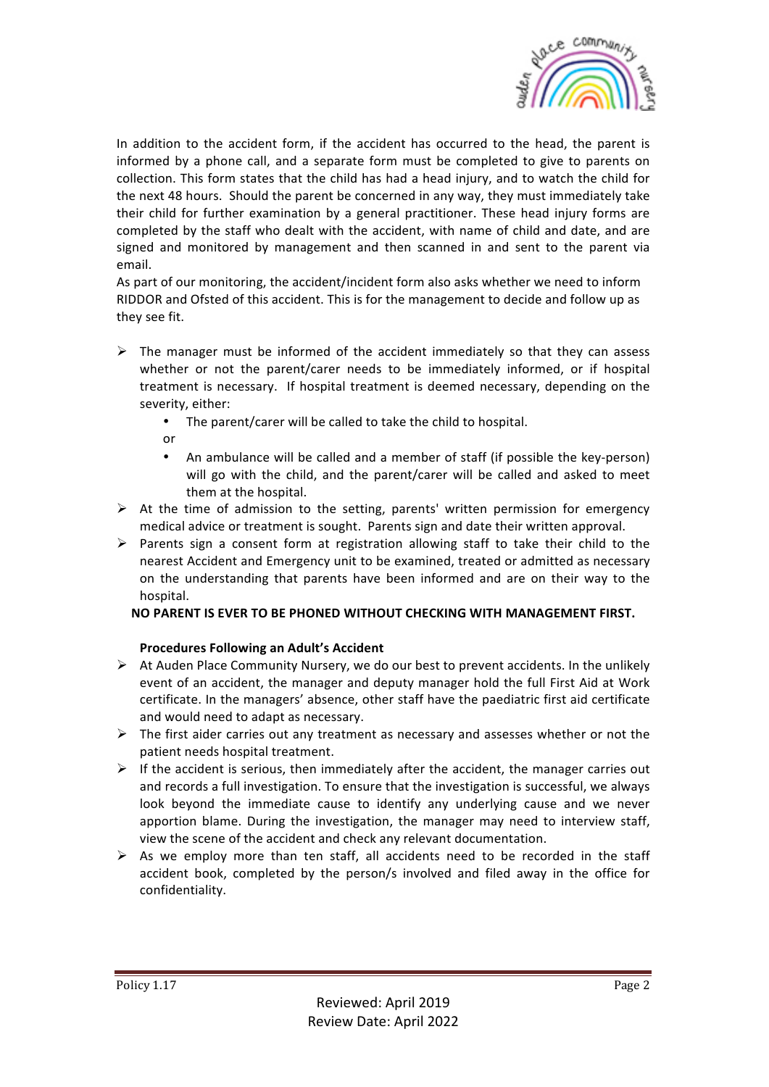

In addition to the accident form, if the accident has occurred to the head, the parent is informed by a phone call, and a separate form must be completed to give to parents on collection. This form states that the child has had a head injury, and to watch the child for the next 48 hours. Should the parent be concerned in any way, they must immediately take their child for further examination by a general practitioner. These head injury forms are completed by the staff who dealt with the accident, with name of child and date, and are signed and monitored by management and then scanned in and sent to the parent via email.

As part of our monitoring, the accident/incident form also asks whether we need to inform RIDDOR and Ofsted of this accident. This is for the management to decide and follow up as they see fit.

- $\triangleright$  The manager must be informed of the accident immediately so that they can assess whether or not the parent/carer needs to be immediately informed, or if hospital treatment is necessary. If hospital treatment is deemed necessary, depending on the severity, either:
	- The parent/carer will be called to take the child to hospital.
	- or
	- An ambulance will be called and a member of staff (if possible the key-person) will go with the child, and the parent/carer will be called and asked to meet them at the hospital.
- $\triangleright$  At the time of admission to the setting, parents' written permission for emergency medical advice or treatment is sought. Parents sign and date their written approval.
- $\triangleright$  Parents sign a consent form at registration allowing staff to take their child to the nearest Accident and Emergency unit to be examined, treated or admitted as necessary on the understanding that parents have been informed and are on their way to the hospital.

### **NO PARENT IS EVER TO BE PHONED WITHOUT CHECKING WITH MANAGEMENT FIRST.**

# **Procedures Following an Adult's Accident**

- $\triangleright$  At Auden Place Community Nursery, we do our best to prevent accidents. In the unlikely event of an accident, the manager and deputy manager hold the full First Aid at Work certificate. In the managers' absence, other staff have the paediatric first aid certificate and would need to adapt as necessary.
- $\triangleright$  The first aider carries out any treatment as necessary and assesses whether or not the patient needs hospital treatment.
- $\triangleright$  If the accident is serious, then immediately after the accident, the manager carries out and records a full investigation. To ensure that the investigation is successful, we always look beyond the immediate cause to identify any underlying cause and we never apportion blame. During the investigation, the manager may need to interview staff, view the scene of the accident and check any relevant documentation.
- $\triangleright$  As we employ more than ten staff, all accidents need to be recorded in the staff accident book, completed by the person/s involved and filed away in the office for confidentiality.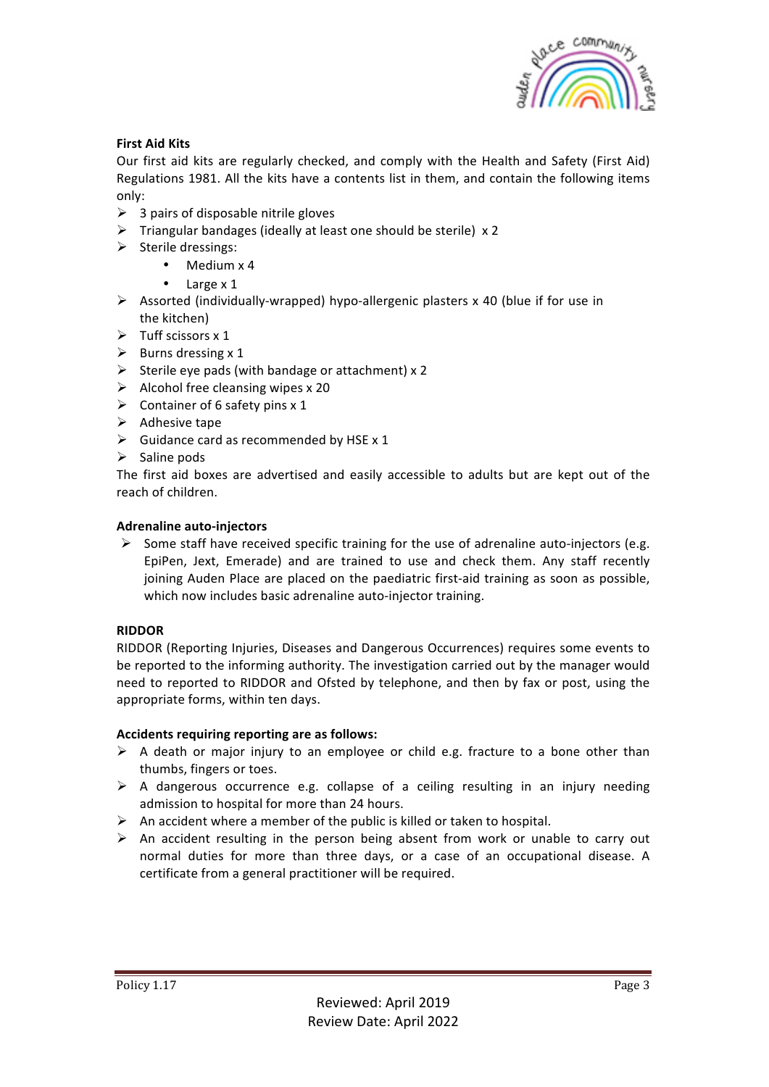

### **First Aid Kits**

Our first aid kits are regularly checked, and comply with the Health and Safety (First Aid) Regulations 1981. All the kits have a contents list in them, and contain the following items only:

- $\geq$  3 pairs of disposable nitrile gloves
- $\triangleright$  Triangular bandages (ideally at least one should be sterile) x 2
- $\triangleright$  Sterile dressings:
	- $\bullet$  Medium  $\times$  4
		- $\bullet$  Large  $\times$  1
- $\triangleright$  Assorted (individually-wrapped) hypo-allergenic plasters x 40 (blue if for use in the kitchen)
- $\triangleright$  Tuff scissors x 1
- $\triangleright$  Burns dressing x 1
- $\triangleright$  Sterile eye pads (with bandage or attachment) x 2
- $\triangleright$  Alcohol free cleansing wipes x 20
- $\triangleright$  Container of 6 safety pins x 1
- $\triangleright$  Adhesive tape
- $\triangleright$  Guidance card as recommended by HSE x 1
- $\triangleright$  Saline pods

The first aid boxes are advertised and easily accessible to adults but are kept out of the reach of children.

### **Adrenaline auto-injectors**

 $\triangleright$  Some staff have received specific training for the use of adrenaline auto-injectors (e.g. EpiPen, Jext, Emerade) and are trained to use and check them. Any staff recently joining Auden Place are placed on the paediatric first-aid training as soon as possible, which now includes basic adrenaline auto-injector training.

### **RIDDOR**

RIDDOR (Reporting Injuries, Diseases and Dangerous Occurrences) requires some events to be reported to the informing authority. The investigation carried out by the manager would need to reported to RIDDOR and Ofsted by telephone, and then by fax or post, using the appropriate forms, within ten days.

### Accidents requiring reporting are as follows:

- $\triangleright$  A death or major injury to an employee or child e.g. fracture to a bone other than thumbs, fingers or toes.
- $\triangleright$  A dangerous occurrence e.g. collapse of a ceiling resulting in an injury needing admission to hospital for more than 24 hours.
- $\triangleright$  An accident where a member of the public is killed or taken to hospital.
- $\triangleright$  An accident resulting in the person being absent from work or unable to carry out normal duties for more than three days, or a case of an occupational disease. A certificate from a general practitioner will be required.